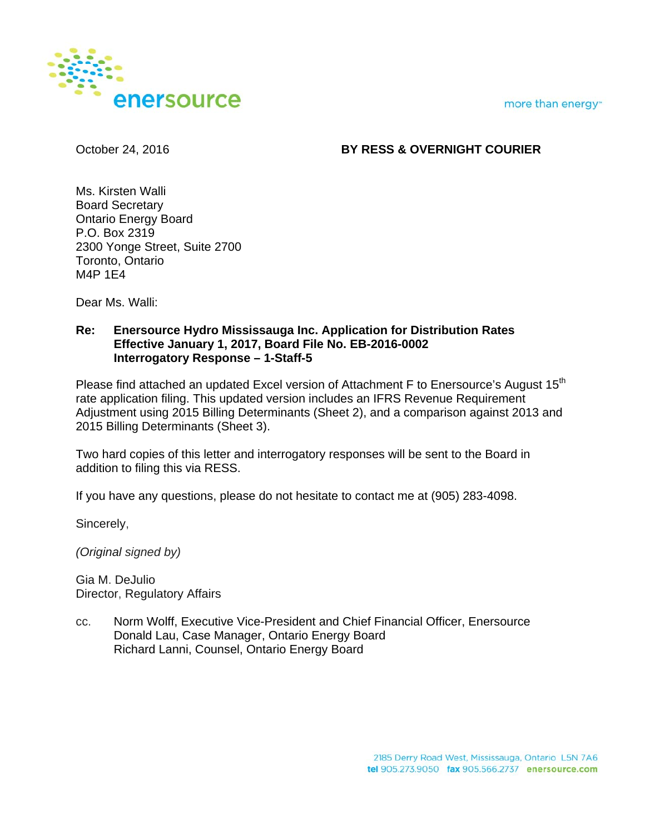more than energy"



# October 24, 2016 **BY RESS & OVERNIGHT COURIER**

Ms. Kirsten Walli Board Secretary Ontario Energy Board P.O. Box 2319 2300 Yonge Street, Suite 2700 Toronto, Ontario M4P 1E4

Dear Ms. Walli:

## **Re: Enersource Hydro Mississauga Inc. Application for Distribution Rates Effective January 1, 2017, Board File No. EB-2016-0002 Interrogatory Response – 1-Staff-5**

Please find attached an updated Excel version of Attachment F to Enersource's August 15<sup>th</sup> rate application filing. This updated version includes an IFRS Revenue Requirement Adjustment using 2015 Billing Determinants (Sheet 2), and a comparison against 2013 and 2015 Billing Determinants (Sheet 3).

Two hard copies of this letter and interrogatory responses will be sent to the Board in addition to filing this via RESS.

If you have any questions, please do not hesitate to contact me at (905) 283-4098.

Sincerely,

*(Original signed by)* 

Gia M. DeJulio Director, Regulatory Affairs

cc. Norm Wolff, Executive Vice-President and Chief Financial Officer, Enersource Donald Lau, Case Manager, Ontario Energy Board Richard Lanni, Counsel, Ontario Energy Board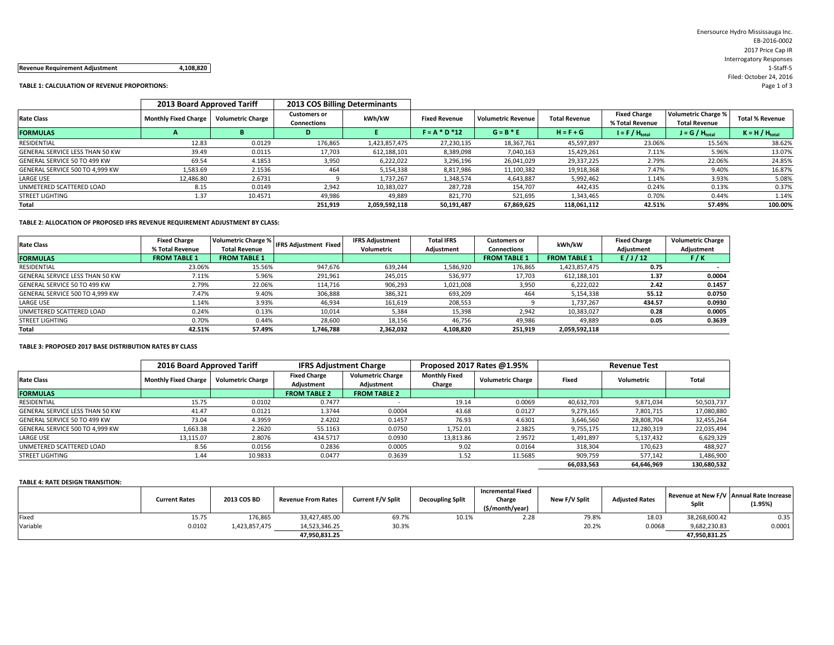#### **Revenue Requirement Adjustment 4,108,820** 1‐Staff‐5

#### **TABLE 1: CALCULATION OF REVENUE PROPORTIONS:** Page 1 of 3

|                                 | 2013 Board Approved Tariff  |                          | 2013 COS Billing Determinants             |               |                      |                           |                      |                                        |                                                    |                        |
|---------------------------------|-----------------------------|--------------------------|-------------------------------------------|---------------|----------------------|---------------------------|----------------------|----------------------------------------|----------------------------------------------------|------------------------|
| <b>Rate Class</b>               | <b>Monthly Fixed Charge</b> | <b>Volumetric Charge</b> | <b>Customers or</b><br><b>Connections</b> | kWh/kW        | <b>Fixed Revenue</b> | <b>Volumetric Revenue</b> | <b>Total Revenue</b> | <b>Fixed Charge</b><br>% Total Revenue | <b>Volumetric Charge %</b><br><b>Total Revenue</b> | <b>Total % Revenue</b> |
| <b>FORMULAS</b>                 |                             |                          |                                           |               | $F = A * D * 12$     | $G = B * E$               | $H = F + G$          | $I = F / H_{total}$                    | $J = G / H_{total}$                                | $K = H / H_{total}$    |
| RESIDENTIAL                     | 12.83                       | 0.0129                   | 176,865                                   | 1,423,857,475 | 27,230,135           | 18,367,761                | 45,597,897           | 23.06%                                 | 15.56%                                             | 38.62%                 |
| GENERAL SERVICE LESS THAN 50 KW | 39.49                       | 0.0115                   | 17,703                                    | 612,188,101   | 8,389,098            | 7,040,163                 | 15,429,261           | 7.11%                                  | 5.96%                                              | 13.07%                 |
| GENERAL SERVICE 50 TO 499 KW    | 69.54                       | 4.1853                   | 3,950                                     | 6,222,022     | 3,296,196            | 26,041,029                | 29,337,225           | 2.79%                                  | 22.06%                                             | 24.85%                 |
| GENERAL SERVICE 500 TO 4,999 KW | 1,583.69                    | 2.1536                   | 464                                       | 5,154,338     | 8,817,986            | 11,100,382                | 19,918,368           | 7.47%                                  | 9.40%                                              | 16.87%                 |
| <b>LARGE USE</b>                | 12,486.80                   | 2.6731                   |                                           | 1,737,267     | 1,348,574            | 4,643,887                 | 5,992,462            | 1.14%                                  | 3.93%                                              | 5.08%                  |
| UNMETERED SCATTERED LOAD        | 8.15                        | 0.0149                   | 2,942                                     | 10,383,027    | 287,728              | 154,707                   | 442,435              | 0.24%                                  | 0.13%                                              | 0.37%                  |
| <b>STREET LIGHTING</b>          | 1.37                        | 10.4571                  | 49,986                                    | 49,889        | 821,770              | 521,695                   | 1,343,465            | 0.70%                                  | 0.44%                                              | 1.14%                  |
| Total                           |                             |                          | 251.919                                   | 2.059.592.118 | 50.191.487           | 67.869.625                | 118.061.112          | 42.51%                                 | 57.49%                                             | 100.00%                |

#### **TABLE 2: ALLOCATION OF PROPOSED IFRS REVENUE REQUIREMENT ADJUSTMENT BY CLASS:**

|                                 | <b>Fixed Charge</b> | <b>Volumetric Charge %</b> |                              | <b>IFRS Adjustment</b> | <b>Total IFRS</b> | Customers or        | kWh/kW              | <b>Fixed Charge</b> | <b>Volumetric Charge</b> |
|---------------------------------|---------------------|----------------------------|------------------------------|------------------------|-------------------|---------------------|---------------------|---------------------|--------------------------|
| <b>Rate Class</b>               | % Total Revenue     | Total Revenue              | <b>IFRS Adjustment Fixed</b> | Volumetric             | Adjustment        | Connections         |                     | Adjustment          | Adjustment               |
| <b>FORMULAS</b>                 | <b>FROM TABLE 1</b> | <b>FROM TABLE 1</b>        |                              |                        |                   | <b>FROM TABLE 1</b> | <b>FROM TABLE 1</b> | E/J/12              | F/K                      |
| RESIDENTIAL                     | 23.06%              | 15.56%                     | 947.676                      | 639.244                | 1,586,920         | 176.865             | 1,423,857,475       | 0.75                |                          |
| GENERAL SERVICE LESS THAN 50 KW | 7.11%               | 5.96%                      | 291,961                      | 245,015                | 536,977           | 17,703              | 612,188,101         | 1.37                | 0.0004                   |
| GENERAL SERVICE 50 TO 499 KW    | 2.79%               | 22.06%                     | 114.716                      | 906,293                | 1,021,008         | 3,950               | 6.222.022           | 2.42                | 0.1457                   |
| GENERAL SERVICE 500 TO 4,999 KW | 7.47%               | 9.40%                      | 306,888                      | 386,321                | 693,209           | 464                 | 5.154.338           | 55.12               | 0.0750                   |
| <b>LARGE USE</b>                | 1.14%               | 3.93%                      | 46,934                       | 161,619                | 208,553           |                     | 1.737.267           | 434.57              | 0.0930                   |
| UNMETERED SCATTERED LOAD        | 0.24%               | 0.13%                      | 10,014                       | 5,384                  | 15,398            | 2,942               | 10,383,027          | 0.28                | 0.0005                   |
| <b>STREET LIGHTING</b>          | 0.70%               | 0.44%                      | 28,600                       | 18,156                 | 46.756            | 49.986              | 49,889              | 0.05                | 0.3639                   |
| Total                           | 42.51%              | 57.49%                     | 1.746.788                    | 2.362.032              | 4.108.820         | 251.919             | 2,059,592,118       |                     |                          |

### **TABLE 3: PROPOSED 2017 BASE DISTRIBUTION RATES BY CLASS**

|                                 | 2016 Board Approved Tariff  |                          | <b>IFRS Adjustment Charge</b>     |                                        |                                | Proposed 2017 Rates @1.95% | <b>Revenue Test</b> |            |             |  |
|---------------------------------|-----------------------------|--------------------------|-----------------------------------|----------------------------------------|--------------------------------|----------------------------|---------------------|------------|-------------|--|
| <b>Rate Class</b>               | <b>Monthly Fixed Charge</b> | <b>Volumetric Charge</b> | <b>Fixed Charge</b><br>Adjustment | <b>Volumetric Charge</b><br>Adjustment | <b>Monthly Fixed</b><br>Charge | <b>Volumetric Charge</b>   | Fixed               | Volumetric | Total       |  |
| <b>FORMULAS</b>                 |                             |                          | <b>FROM TABLE 2</b>               | <b>FROM TABLE 2</b>                    |                                |                            |                     |            |             |  |
| RESIDENTIAL                     | 15.75                       | 0.0102                   | 0.7477                            |                                        | 19.14                          | 0.0069                     | 40,632,703          | 9,871,034  | 50,503,737  |  |
| GENERAL SERVICE LESS THAN 50 KW | 41.47                       | 0.0121                   | 1.3744                            | 0.0004                                 | 43.68                          | 0.0127                     | 9,279,165           | 7,801,715  | 17,080,880  |  |
| GENERAL SERVICE 50 TO 499 KW    | 73.04                       | 4.3959                   | 2.4202                            | 0.1457                                 | 76.93                          | 4.6301                     | 3,646,560           | 28,808,704 | 32,455,264  |  |
| GENERAL SERVICE 500 TO 4,999 KW | 1.663.38                    | 2.2620                   | 55.1163                           | 0.0750                                 | 1.752.01                       | 2.3825                     | 9,755,175           | 12,280,319 | 22,035,494  |  |
| LARGE USE                       | 13,115.07                   | 2.8076                   | 434.5717                          | 0.0930                                 | 13,813.86                      | 2.9572                     | 1,491,897           | 5,137,432  | 6,629,329   |  |
| UNMETERED SCATTERED LOAD        | 8.56                        | 0.0156                   | 0.2836                            | 0.0005                                 | 9.02                           | 0.0164                     | 318,304             | 170,623    | 488,927     |  |
| <b>STREET LIGHTING</b>          | 1.44                        | 10.9833                  | 0.0477                            | 0.3639                                 | 1.52                           | 11.5685                    | 909,759             | 577,142    | 1,486,900   |  |
|                                 |                             |                          |                                   |                                        |                                |                            | 66,033,563          | 64,646,969 | 130,680,532 |  |

#### **TABLE 4: RATE DESIGN TRANSITION:**

|          | <b>Current Rates</b> | 2013 COS BD   | <b>Revenue From Rates</b> | <b>Current F/V Split</b> | <b>Decoupling Split</b> | <b>Incremental Fixed</b><br>Charge<br>(\$/month/year) | New F/V Split | <b>Adjusted Rates</b> | Split         | Revenue at New F/V   Annual Rate Increase  <br>(1.95%) |
|----------|----------------------|---------------|---------------------------|--------------------------|-------------------------|-------------------------------------------------------|---------------|-----------------------|---------------|--------------------------------------------------------|
| Fixeo    | 15.75                | 176,865       | 33,427,485.00             | 69.7%                    | 10.1%                   | 2.28                                                  | 79.8%         | 18.03                 | 38,268,600.42 | 0.35                                                   |
| Variable | 0.0102               | 1,423,857,475 | 14,523,346.25             | 30.3%                    |                         |                                                       | 20.2%         | 0.0068                | 9,682,230.83  | 0.0001                                                 |
|          |                      |               | 47.950.831.25             |                          |                         |                                                       |               |                       | 47.950.831.25 |                                                        |

Enersource Hydro Mississauga Inc. EB‐2016‐0002 2017 Price Cap IR Interrogatory Responses Filed: October 24, 2016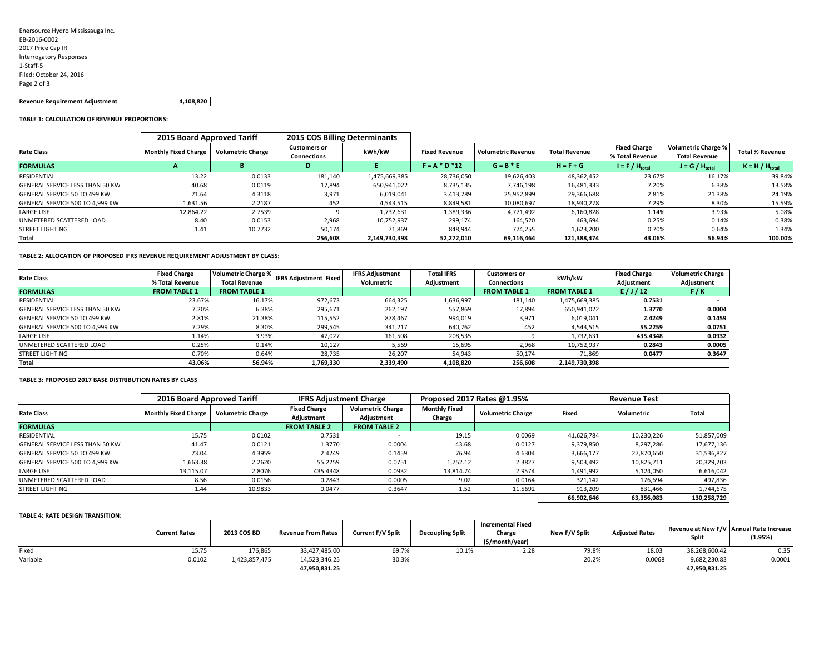| Enersource Hydro Mississauga Inc. |
|-----------------------------------|
| EB-2016-0002                      |
| 2017 Price Cap IR                 |
| <b>Interrogatory Responses</b>    |
| 1-Staff-5                         |
| Filed: October 24, 2016           |
| Page 2 of 3                       |
|                                   |

#### **Revenue Requirement Adjustment 4,108,820**

#### **TABLE 1: CALCULATION OF REVENUE PROPORTIONS:**

|                                 | 2015 Board Approved Tariff  |                   | 2015 COS Billing Determinants             |               |                      |                           |                      |                                        |                                                    |                        |
|---------------------------------|-----------------------------|-------------------|-------------------------------------------|---------------|----------------------|---------------------------|----------------------|----------------------------------------|----------------------------------------------------|------------------------|
| <b>Rate Class</b>               | <b>Monthly Fixed Charge</b> | /olumetric Charge | <b>Customers or</b><br><b>Connections</b> | kWh/kW        | <b>Fixed Revenue</b> | <b>Volumetric Revenue</b> | <b>Total Revenue</b> | <b>Fixed Charge</b><br>% Total Revenue | <b>Volumetric Charge %</b><br><b>Total Revenue</b> | <b>Total % Revenue</b> |
| <b>FORMULAS</b>                 |                             | в                 |                                           |               | $F = A * D * 12$     | $G = B * E$               | $H = F + G$          | $I = F / H_{total}$                    | $J = G / H_{total}$                                | $K = H / H_{total}$    |
| RESIDENTIAL                     | 13.22                       | 0.0133            | 181,140                                   | 1,475,669,385 | 28,736,050           | 19,626,403                | 48,362,452           | 23.67%                                 | 16.17%                                             | 39.84%                 |
| GENERAL SERVICE LESS THAN 50 KW | 40.68                       | 0.0119            | 17,894                                    | 650,941,022   | 8,735,135            | 7,746,198                 | 16,481,333           | 7.20%                                  | 6.38%                                              | 13.58%                 |
| GENERAL SERVICE 50 TO 499 KW    | 71.64                       | 4.3118            | 3,971                                     | 6,019,041     | 3,413,789            | 25,952,899                | 29,366,688           | 2.81%                                  | 21.38%                                             | 24.19%                 |
| GENERAL SERVICE 500 TO 4,999 KW | 1,631.56                    | 2.2187            | 452                                       | 4,543,515     | 8,849,581            | 10,080,697                | 18,930,278           | 7.29%                                  | 8.30%                                              | 15.59%                 |
| <b>LARGE USE</b>                | 12,864.22                   | 2.7539            |                                           | 1,732,631     | 1,389,336            | 4,771,492                 | 6,160,828            | 1.14%                                  | 3.93%                                              | 5.08%                  |
| UNMETERED SCATTERED LOAD        | 8.40                        | 0.0153            | 2,968                                     | 10,752,937    | 299,174              | 164,520                   | 463.694              | 0.25%                                  | 0.14%                                              | 0.38%                  |
| <b>STREET LIGHTING</b>          | 1.41                        | 10.7732           | 50,174                                    | 71,869        | 848.944              | 774.255                   | 1.623.200            | 0.70%                                  | 0.64%                                              | 1.34%                  |
| Total                           |                             |                   | 256.608                                   | 2,149,730,398 | 52,272,010           | 69.116.464                | 121,388,474          | 43.06%                                 | 56.94%                                             | 100.00%                |

#### **TABLE 2: ALLOCATION OF PROPOSED IFRS REVENUE REQUIREMENT ADJUSTMENT BY CLASS:**

| <b>Rate Class</b>                      | <b>Fixed Charge</b> | Volumetric Charge %  | <b>IFRS Adjustment Fixed</b> | <b>IFRS Adjustment</b> | <b>Total IFRS</b> | <b>Customers or</b> | kWh/kW              | <b>Fixed Charge</b> | <b>Volumetric Charge</b> |
|----------------------------------------|---------------------|----------------------|------------------------------|------------------------|-------------------|---------------------|---------------------|---------------------|--------------------------|
|                                        | % Total Revenue     | <b>Total Revenue</b> |                              | Volumetric             | Adjustment        | Connections         |                     | Adjustment          | Adjustment               |
| <b>FORMULAS</b>                        | <b>FROM TABLE 1</b> | <b>FROM TABLE 1</b>  |                              |                        |                   | <b>FROM TABLE 1</b> | <b>FROM TABLE 1</b> | E/J/J2              | F/K                      |
| RESIDENTIAL                            | 23.67%              | 16.17%               | 972,673                      | 664,325                | 1,636,997         | 181,140             | 1,475,669,385       | 0.7531              |                          |
| <b>GENERAL SERVICE LESS THAN 50 KW</b> | 7.20%               | 6.38%                | 295,671                      | 262.197                | 557,869           | 17,894              | 650,941,022         | 1.3770              | 0.0004                   |
| GENERAL SERVICE 50 TO 499 KW           | 2.81%               | 21.38%               | 115,552                      | 878,467                | 994,019           | 3,971               | 6,019,041           | 2.4249              | 0.1459                   |
| GENERAL SERVICE 500 TO 4.999 KW        | 7.29%               | 8.30%                | 299,545                      | 341,217                | 640,762           | 452                 | 4,543,515           | 55.2259             | 0.0751                   |
| LARGE USE                              | 1.14%               | 3.93%                | 47,027                       | 161,508                | 208,535           |                     | 1,732,631           | 435.4348            | 0.0932                   |
| UNMETERED SCATTERED LOAD               | 0.25%               | 0.14%                | 10,127                       | 5,569                  | 15,695            | 2,968               | 10,752,937          | 0.2843              | 0.0005                   |
| <b>STREET LIGHTING</b>                 | 0.70%               | 0.64%                | 28,735                       | 26,207                 | 54,943            | 50.174              | 71,869              | 0.0477              | 0.3647                   |
| Total                                  | 43.06%              | 56.94%               | 1.769.330                    | 2.339.490              | 4.108.820         | 256.608             | 2,149,730,398       |                     |                          |

#### **TABLE 3: PROPOSED 2017 BASE DISTRIBUTION RATES BY CLASS**

|                                 | 2016 Board Approved Tariff  |                          | <b>IFRS Adjustment Charge</b>     |                                        |                                | Proposed 2017 Rates @1.95% |            | <b>Revenue Test</b> |              |
|---------------------------------|-----------------------------|--------------------------|-----------------------------------|----------------------------------------|--------------------------------|----------------------------|------------|---------------------|--------------|
| <b>Rate Class</b>               | <b>Monthly Fixed Charge</b> | <b>Volumetric Charge</b> | <b>Fixed Charge</b><br>Adjustment | <b>Volumetric Charge</b><br>Adjustment | <b>Monthly Fixed</b><br>Charge | <b>Volumetric Charge</b>   | Fixed      | Volumetric          | <b>Total</b> |
| <b>FORMULAS</b>                 |                             |                          | <b>FROM TABLE 2</b>               | <b>FROM TABLE 2</b>                    |                                |                            |            |                     |              |
| RESIDENTIAL                     | 15.75                       | 0.0102                   | 0.7531                            |                                        | 19.15                          | 0.0069                     | 41,626,784 | 10,230,226          | 51,857,009   |
| GENERAL SERVICE LESS THAN 50 KW | 41.47                       | 0.0121                   | 1.3770                            | 0.0004                                 | 43.68                          | 0.0127                     | 9,379,850  | 8,297,286           | 17,677,136   |
| GENERAL SERVICE 50 TO 499 KW    | 73.04                       | 4.3959                   | 2.4249                            | 0.1459                                 | 76.94                          | 4.6304                     | 3,666,177  | 27,870,650          | 31,536,827   |
| GENERAL SERVICE 500 TO 4,999 KW | 1,663.38                    | 2.2620                   | 55.2259                           | 0.0751                                 | 1,752.12                       | 2.3827                     | 9,503,492  | 10,825,711          | 20,329,203   |
| LARGE USE                       | 13,115.07                   | 2.8076                   | 435.4348                          | 0.0932                                 | 13,814.74                      | 2.9574                     | 1,491,992  | 5,124,050           | 6,616,042    |
| UNMETERED SCATTERED LOAD        | 8.56                        | 0.0156                   | 0.2843                            | 0.0005                                 | 9.02                           | 0.0164                     | 321,142    | 176.694             | 497,836      |
| <b>STREET LIGHTING</b>          | 1.44                        | 10.9833                  | 0.0477                            | 0.3647                                 | 1.52                           | 11.5692                    | 913,209    | 831,466             | 1,744,675    |
|                                 |                             |                          |                                   |                                        |                                |                            | 66.902.646 | 63.356.083          | 130.258.729  |

#### **TABLE 4: RATE DESIGN TRANSITION:**

|          | <b>Current Rates</b> | 2013 COS BD   | <b>Revenue From Rates</b> | <b>Current F/V Split</b> | <b>Decoupling Split</b> | <b>Incremental Fixed</b><br>Charge<br>(\$/month/year) | New F/V Split | <b>Adjusted Rates</b> | Split         | Revenue at New F/V   Annual Rate Increase<br>(1.95%) |
|----------|----------------------|---------------|---------------------------|--------------------------|-------------------------|-------------------------------------------------------|---------------|-----------------------|---------------|------------------------------------------------------|
| Fixed    | 15.75                | 176,865       | 33,427,485.00             | 69.7%                    | 10.1%                   | 2.28                                                  | 79.8%         | 18.03                 | 38,268,600.42 | 0.35                                                 |
| Variable | 0.0102               | 1,423,857,475 | 14,523,346.25             | 30.3%                    |                         |                                                       | 20.2%         | 0.0068                | 9,682,230.83  | 0.0001                                               |
|          |                      |               | 47.950.831.25             |                          |                         |                                                       |               |                       | 47,950,831.25 |                                                      |